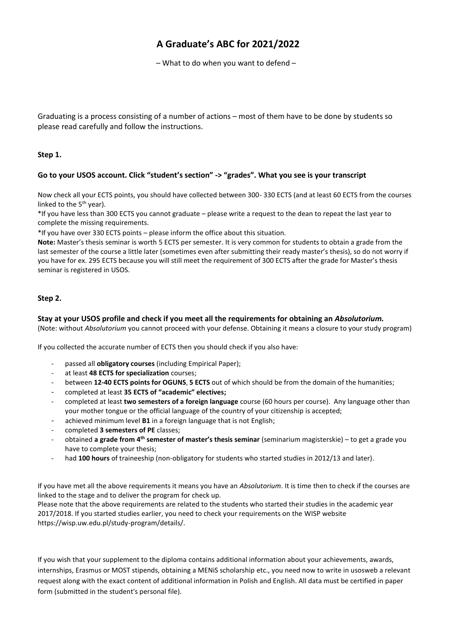# **A Graduate's ABC for 2021/2022**

– What to do when you want to defend –

Graduating is a process consisting of a number of actions – most of them have to be done by students so please read carefully and follow the instructions.

## **Step 1.**

# **Go to your USOS account. Click "student's section" -> "grades". What you see is your transcript**

Now check all your ECTS points, you should have collected between 300- 330 ECTS (and at least 60 ECTS from the courses linked to the  $5<sup>th</sup>$  year).

\*If you have less than 300 ECTS you cannot graduate – please write a request to the dean to repeat the last year to complete the missing requirements.

\*If you have over 330 ECTS points – please inform the office about this situation.

**Note:** Master's thesis seminar is worth 5 ECTS per semester. It is very common for students to obtain a grade from the last semester of the course a little later (sometimes even after submitting their ready master's thesis), so do not worry if you have for ex. 295 ECTS because you will still meet the requirement of 300 ECTS after the grade for Master's thesis seminar is registered in USOS.

# **Step 2.**

# **Stay at your USOS profile and check if you meet all the requirements for obtaining an** *Absolutorium.*

(Note: without *Absolutorium* you cannot proceed with your defense. Obtaining it means a closure to your study program)

If you collected the accurate number of ECTS then you should check if you also have:

- passed all **obligatory courses** (including Empirical Paper);
- at least **48 ECTS for specialization** courses;
- between **12-40 ECTS points for OGUNS**, **5 ECTS** out of which should be from the domain of the humanities;
- completed at least **35 ECTS of "academic" electives;**
- completed at least **two semesters of a foreign language** course (60 hours per course). Any language other than your mother tongue or the official language of the country of your citizenship is accepted;
- achieved minimum level **B1** in a foreign language that is not English;
- completed **3 semesters of PE** classes;
- obtained **a grade from 4 th semester of master's thesis seminar** (seminarium magisterskie) to get a grade you have to complete your thesis;
- had 100 hours of traineeship (non-obligatory for students who started studies in 2012/13 and later).

If you have met all the above requirements it means you have an *Absolutorium*. It is time then to check if the courses are linked to the stage and to deliver the program for check up.

Please note that the above requirements are related to the students who started their studies in the academic year 2017/2018. If you started studies earlier, you need to check your requirements on the WISP website https://wisp.uw.edu.pl/study-program/details/.

If you wish that your supplement to the diploma contains additional information about your achievements, awards, internships, Erasmus or MOST stipends, obtaining a MENiS scholarship etc., you need now to write in usosweb a relevant request along with the exact content of additional information in Polish and English. All data must be certified in paper form (submitted in the student's personal file).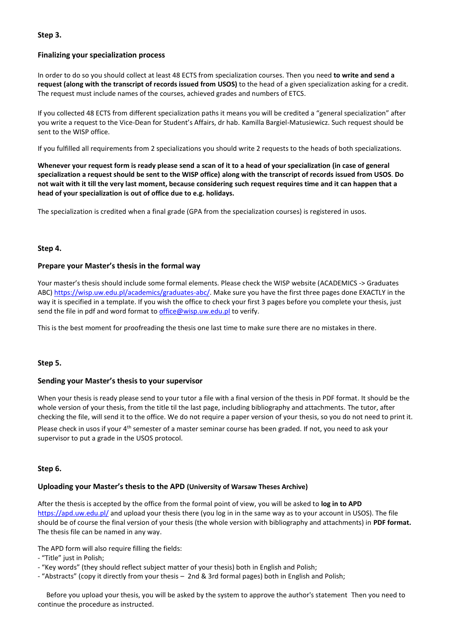### **Step 3.**

#### **Finalizing your specialization process**

In order to do so you should collect at least 48 ECTS from specialization courses. Then you need **to write and send a request (along with the transcript of records issued from USOS)** to the head of a given specialization asking for a credit. The request must include names of the courses, achieved grades and numbers of ETCS.

If you collected 48 ECTS from different specialization paths it means you will be credited a "general specialization" after you write a request to the Vice-Dean for Student's Affairs, dr hab. Kamilla Bargiel-Matusiewicz. Such request should be sent to the WISP office.

If you fulfilled all requirements from 2 specializations you should write 2 requests to the heads of both specializations.

**Whenever your request form is ready please send a scan of it to a head of your specialization (in case of general specialization a request should be sent to the WISP office) along with the transcript of records issued from USOS**. **Do not wait with it till the very last moment, because considering such request requires time and it can happen that a head of your specialization is out of office due to e.g. holidays.** 

The specialization is credited when a final grade (GPA from the specialization courses) is registered in usos.

#### **Step 4.**

#### **Prepare your Master's thesis in the formal way**

Your master's thesis should include some formal elements. Please check the WISP website (ACADEMICS -> Graduates ABC[\) https://wisp.uw.edu.pl/academics/graduates-abc/.](https://wisp.uw.edu.pl/academics/graduates-abc/) Make sure you have the first three pages done EXACTLY in the way it is specified in a template. If you wish the office to check your first 3 pages before you complete your thesis, just send the file in pdf and word format t[o office@wisp.uw.edu.pl](mailto:Office@wisp.uw.edu.pl) to verify.

This is the best moment for proofreading the thesis one last time to make sure there are no mistakes in there.

#### **Step 5.**

#### **Sending your Master's thesis to your supervisor**

When your thesis is ready please send to your tutor a file with a final version of the thesis in PDF format. It should be the whole version of your thesis, from the title til the last page, including bibliography and attachments. The tutor, after checking the file, will send it to the office. We do not require a paper version of your thesis, so you do not need to print it.

Please check in usos if your 4<sup>th</sup> semester of a master seminar course has been graded. If not, you need to ask your supervisor to put a grade in the USOS protocol.

#### **Step 6.**

#### **Uploading your Master's thesis to the APD (University of Warsaw Theses Archive)**

After the thesis is accepted by the office from the formal point of view, you will be asked to **log in to APD**  <https://apd.uw.edu.pl/> and upload your thesis there (you log in in the same way as to your account in USOS). The file should be of course the final version of your thesis (the whole version with bibliography and attachments) in **PDF format.** The thesis file can be named in any way.

The APD form will also require filling the fields:

- "Title" just in Polish;

- "Key words" (they should reflect subject matter of your thesis) both in English and Polish;
- "Abstracts" (copy it directly from your thesis 2nd & 3rd formal pages) both in English and Polish;

 Before you upload your thesis, you will be asked by the system to approve the author's statement Then you need to continue the procedure as instructed.